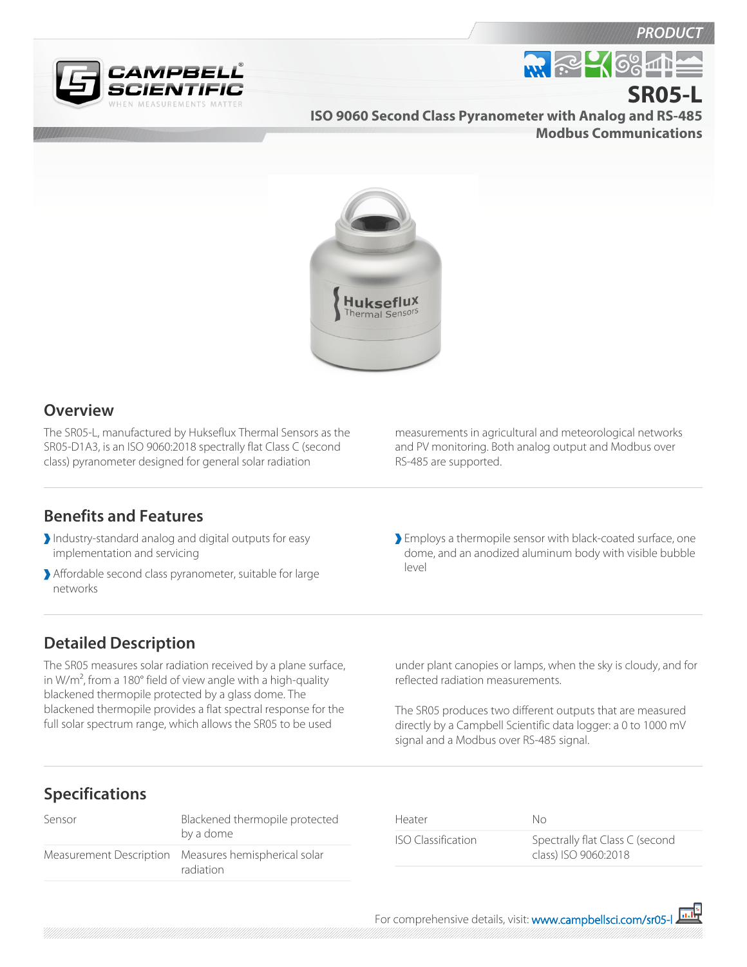#### **PRODUC**

**SR05-L**



**M. R. C. 68-11** 

**ISO 9060 Second Class Pyranometer with Analog and RS-485 Modbus Communications**



#### **Overview**

The SR05-L, manufactured by Hukseflux Thermal Sensors as the SR05-D1A3, is an ISO 9060:2018 spectrally flat Class C (second class) pyranometer designed for general solar radiation

measurements in agricultural and meteorological networks and PV monitoring. Both analog output and Modbus over RS-485 are supported.

### **Benefits and Features**

- Industry-standard analog and digital outputs for easy implementation and servicing
- Affordable second class pyranometer, suitable for large networks

Employs a thermopile sensor with black-coated surface, one dome, and an anodized aluminum body with visible bubble level

## **Detailed Description**

The SR05 measures solar radiation received by a plane surface, in W/m², from a 180° field of view angle with a high-quality blackened thermopile protected by a glass dome. The blackened thermopile provides a flat spectral response for the full solar spectrum range, which allows the SR05 to be used

under plant canopies or lamps, when the sky is cloudy, and for reflected radiation measurements.

The SR05 produces two different outputs that are measured directly by a Campbell Scientific data logger: a 0 to 1000 mV signal and a Modbus over RS-485 signal.

# **Specifications**

| Sensor | Blackened thermopile protected<br>by a dome                       |
|--------|-------------------------------------------------------------------|
|        | Measurement Description Measures hemispherical solar<br>radiation |

| Heater             | No.                                                     |
|--------------------|---------------------------------------------------------|
| ISO Classification | Spectrally flat Class C (second<br>class) ISO 9060:2018 |